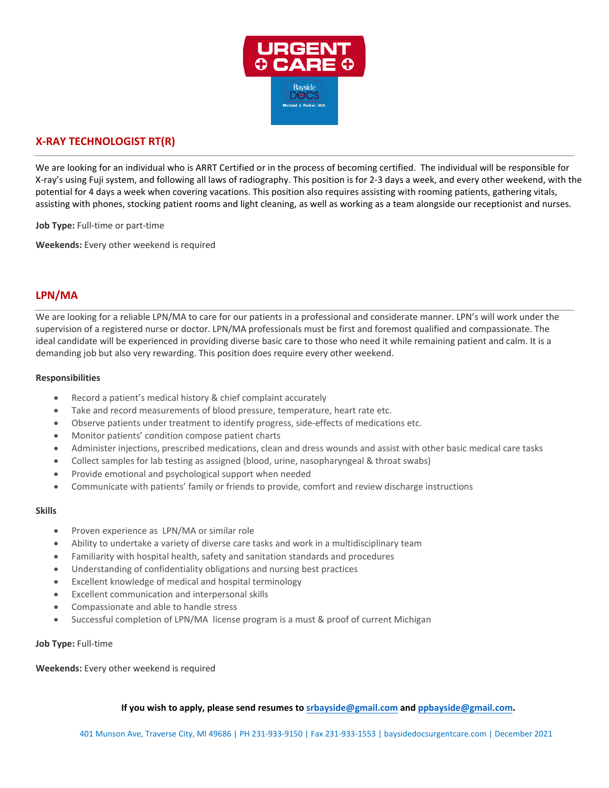

# **X-RAY TECHNOLOGIST RT(R)**

We are looking for an individual who is ARRT Certified or in the process of becoming certified. The individual will be responsible for X-ray's using Fuji system, and following all laws of radiography. This position is for 2-3 days a week, and every other weekend, with the potential for 4 days a week when covering vacations. This position also requires assisting with rooming patients, gathering vitals, assisting with phones, stocking patient rooms and light cleaning, as well as working as a team alongside our receptionist and nurses.

**Job Type:** Full-time or part-time

**Weekends:** Every other weekend is required

## **LPN/MA**

We are looking for a reliable LPN/MA to care for our patients in a professional and considerate manner. LPN's will work under the supervision of a registered nurse or doctor. LPN/MA professionals must be first and foremost qualified and compassionate. The ideal candidate will be experienced in providing diverse basic care to those who need it while remaining patient and calm. It is a demanding job but also very rewarding. This position does require every other weekend.

#### **Responsibilities**

- Record a patient's medical history & chief complaint accurately
- Take and record measurements of blood pressure, temperature, heart rate etc.
- Observe patients under treatment to identify progress, side-effects of medications etc.
- Monitor patients' condition compose patient charts
- Administer injections, prescribed medications, clean and dress wounds and assist with other basic medical care tasks
- Collect samples for lab testing as assigned (blood, urine, nasopharyngeal & throat swabs)
- Provide emotional and psychological support when needed
- Communicate with patients' family or friends to provide, comfort and review discharge instructions

#### **Skills**

- Proven experience as LPN/MA or similar role
- Ability to undertake a variety of diverse care tasks and work in a multidisciplinary team
- Familiarity with hospital health, safety and sanitation standards and procedures
- Understanding of confidentiality obligations and nursing best practices
- Excellent knowledge of medical and hospital terminology
- Excellent communication and interpersonal skills
- Compassionate and able to handle stress
- Successful completion of LPN/MA license program is a must & proof of current Michigan

#### **Job Type:** Full-time

**Weekends:** Every other weekend is required

**If you wish to apply, please send resumes to [srbayside@gmail.co](mailto:srbayside@gmail.com)m and [ppbayside@gmail.co](mailto:ppbayside@gmail.com)m.**